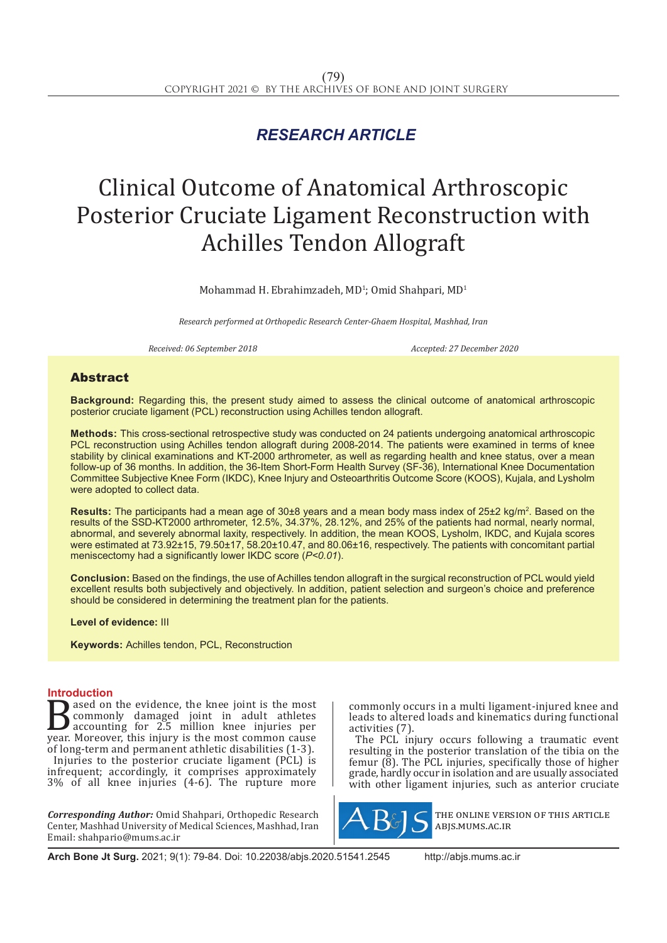# *RESEARCH ARTICLE*

# Clinical Outcome of Anatomical Arthroscopic Posterior Cruciate Ligament Reconstruction with Achilles Tendon Allograft

Mohammad H. Ebrahimzadeh, MD<sup>1</sup>; Omid Shahpari, MD<sup>1</sup>

*Research performed at Orthopedic Research Center-Ghaem Hospital, Mashhad, Iran* 

*Received: 06 September 2018 Accepted: 27 December 2020*

# Abstract

**Background:** Regarding this, the present study aimed to assess the clinical outcome of anatomical arthroscopic posterior cruciate ligament (PCL) reconstruction using Achilles tendon allograft.

**Methods:** This cross-sectional retrospective study was conducted on 24 patients undergoing anatomical arthroscopic PCL reconstruction using Achilles tendon allograft during 2008-2014. The patients were examined in terms of knee stability by clinical examinations and KT-2000 arthrometer, as well as regarding health and knee status, over a mean follow-up of 36 months. In addition, the 36-Item Short-Form Health Survey (SF-36), International Knee Documentation Committee Subjective Knee Form (IKDC), Knee Injury and Osteoarthritis Outcome Score (KOOS), Kujala, and Lysholm were adopted to collect data.

Results: The participants had a mean age of 30±8 years and a mean body mass index of 25±2 kg/m<sup>2</sup>. Based on the results of the SSD-KT2000 arthrometer, 12.5%, 34.37%, 28.12%, and 25% of the patients had normal, nearly normal, abnormal, and severely abnormal laxity, respectively. In addition, the mean KOOS, Lysholm, IKDC, and Kujala scores were estimated at 73.92±15, 79.50±17, 58.20±10.47, and 80.06±16, respectively. The patients with concomitant partial meniscectomy had a significantly lower IKDC score (*P<0.01*).

**Conclusion:** Based on the findings, the use of Achilles tendon allograft in the surgical reconstruction of PCL would yield excellent results both subjectively and objectively. In addition, patient selection and surgeon's choice and preference should be considered in determining the treatment plan for the patients.

**Level of evidence:** III

**Keywords:** Achilles tendon, PCL, Reconstruction

# **Introduction**

**B**ased on the evidence, the knee joint is the most<br>commonly damaged joint in adult athletes<br>accounting for 2.5 million knee injuries per<br>year. Moreover, this injury is the most common cause<br>of long-term and nermannent ath commonly damaged joint in adult athletes accounting for 2.5 million knee injuries per year. Moreover, this injury is the most common cause of long-term and permanent athletic disabilities (1-3). Injuries to the posterior cruciate ligament (PCL) is infrequent; accordingly, it comprises approximately 3% of all knee injuries (4-6). The rupture more

*Corresponding Author:* Omid Shahpari, Orthopedic Research Center, Mashhad University of Medical Sciences, Mashhad, Iran Email: shahpario@mums.ac.ir

commonly occurs in a multi ligament-injured knee and leads to altered loads and kinematics during functional activities (7).

The PCL injury occurs following a traumatic event resulting in the posterior translation of the tibia on the femur (8). The PCL injuries, specifically those of higher grade, hardly occur in isolation and are usually associated with other ligament injuries, such as anterior cruciate



the online version of this article abjs.mums.ac.ir

**Arch Bone Jt Surg.** 2021; 9(1): 79-84. Doi: 10.22038/abjs.2020.51541.2545 http://abjs.mums.ac.ir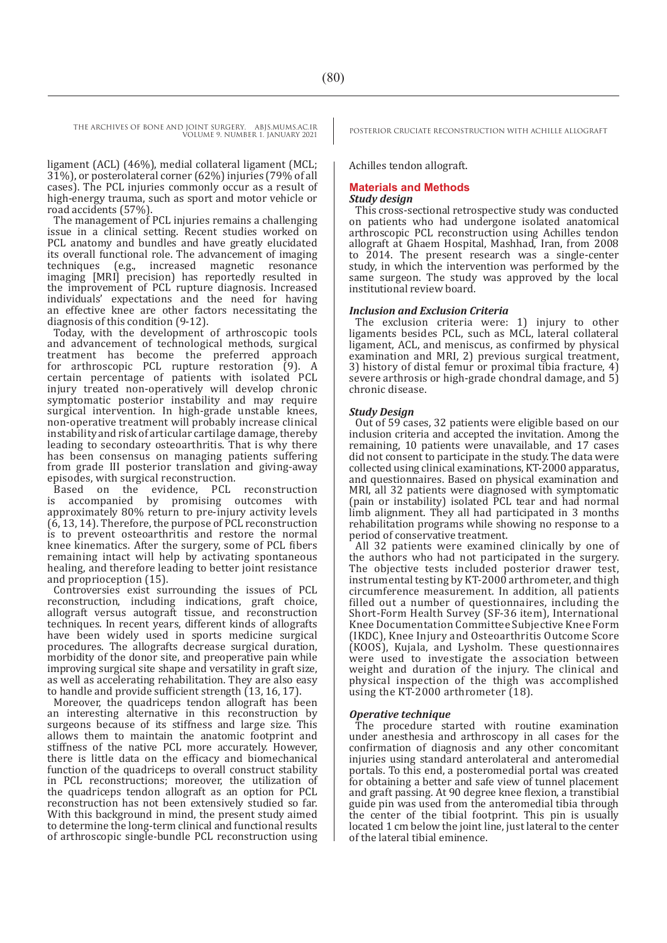ligament (ACL) (46%), medial collateral ligament (MCL; 31%), or posterolateral corner (62%) injuries (79% of all cases). The PCL injuries commonly occur as a result of high-energy trauma, such as sport and motor vehicle or road accidents (57%).

The management of PCL injuries remains a challenging issue in a clinical setting. Recent studies worked on PCL anatomy and bundles and have greatly elucidated its overall functional role. The advancement of imaging<br>techniques (e.g., increased magnetic resonance (e.g., increased magnetic resonance imaging [MRI] precision) has reportedly resulted in the improvement of PCL rupture diagnosis. Increased individuals' expectations and the need for having an effective knee are other factors necessitating the diagnosis of this condition (9-12).

Today, with the development of arthroscopic tools and advancement of technological methods, surgical treatment has become the preferred approach for arthroscopic PCL rupture restoration (9). A certain percentage of patients with isolated PCL injury treated non-operatively will develop chronic symptomatic posterior instability and may require surgical intervention. In high-grade unstable knees, non-operative treatment will probably increase clinical instability and risk of articular cartilage damage, thereby leading to secondary osteoarthritis. That is why there has been consensus on managing patients suffering from grade III posterior translation and giving-away episodes, with surgical reconstruction.<br>Based on the evidence, PCL reconstruction

Based on the evidence, PCL reconstruction is accompanied by promising outcomes with approximately 80% return to pre-injury activity levels (6, 13, 14). Therefore, the purpose of PCL reconstruction is to prevent osteoarthritis and restore the normal knee kinematics. After the surgery, some of PCL fibers remaining intact will help by activating spontaneous healing, and therefore leading to better joint resistance and proprioception (15).

Controversies exist surrounding the issues of PCL reconstruction, including indications, graft choice, allograft versus autograft tissue, and reconstruction techniques. In recent years, different kinds of allografts have been widely used in sports medicine surgical procedures. The allografts decrease surgical duration, morbidity of the donor site, and preoperative pain while improving surgical site shape and versatility in graft size, as well as accelerating rehabilitation. They are also easy to handle and provide sufficient strength (13, 16, 17).

Moreover, the quadriceps tendon allograft has been an interesting alternative in this reconstruction by surgeons because of its stiffness and large size. This allows them to maintain the anatomic footprint and stiffness of the native PCL more accurately. However, there is little data on the efficacy and biomechanical function of the quadriceps to overall construct stability in PCL reconstructions; moreover, the utilization of the quadriceps tendon allograft as an option for PCL reconstruction has not been extensively studied so far. With this background in mind, the present study aimed to determine the long-term clinical and functional results of arthroscopic single-bundle PCL reconstruction using

Achilles tendon allograft.

# **Materials and Methods**

# *Study design*

This cross-sectional retrospective study was conducted on patients who had undergone isolated anatomical arthroscopic PCL reconstruction using Achilles tendon allograft at Ghaem Hospital, Mashhad, Iran, from 2008 to 2014. The present research was a single-center study, in which the intervention was performed by the same surgeon. The study was approved by the local institutional review board.

# *Inclusion and Exclusion Criteria*

The exclusion criteria were: 1) injury to other ligaments besides PCL, such as MCL, lateral collateral ligament, ACL, and meniscus, as confirmed by physical examination and MRI, 2) previous surgical treatment, 3) history of distal femur or proximal tibia fracture, 4) severe arthrosis or high-grade chondral damage, and 5) chronic disease.

#### *Study Design*

Out of 59 cases, 32 patients were eligible based on our inclusion criteria and accepted the invitation. Among the remaining, 10 patients were unavailable, and 17 cases did not consent to participate in the study. The data were collected using clinical examinations, KT-2000 apparatus, and questionnaires. Based on physical examination and MRI, all 32 patients were diagnosed with symptomatic (pain or instability) isolated PCL tear and had normal limb alignment. They all had participated in 3 months rehabilitation programs while showing no response to a period of conservative treatment.

All 32 patients were examined clinically by one of the authors who had not participated in the surgery. The objective tests included posterior drawer test, instrumental testing by KT-2000 arthrometer, and thigh circumference measurement. In addition, all patients filled out a number of questionnaires, including the Short-Form Health Survey (SF-36 item), International Knee Documentation Committee Subjective Knee Form (IKDC), Knee Injury and Osteoarthritis Outcome Score (KOOS), Kujala, and Lysholm. These questionnaires were used to investigate the association between weight and duration of the injury. The clinical and physical inspection of the thigh was accomplished using the KT-2000 arthrometer (18).

# *Operative technique*

The procedure started with routine examination under anesthesia and arthroscopy in all cases for the confirmation of diagnosis and any other concomitant injuries using standard anterolateral and anteromedial portals. To this end, a posteromedial portal was created for obtaining a better and safe view of tunnel placement and graft passing. At 90 degree knee flexion, a transtibial guide pin was used from the anteromedial tibia through the center of the tibial footprint. This pin is usually located 1 cm below the joint line, just lateral to the center of the lateral tibial eminence.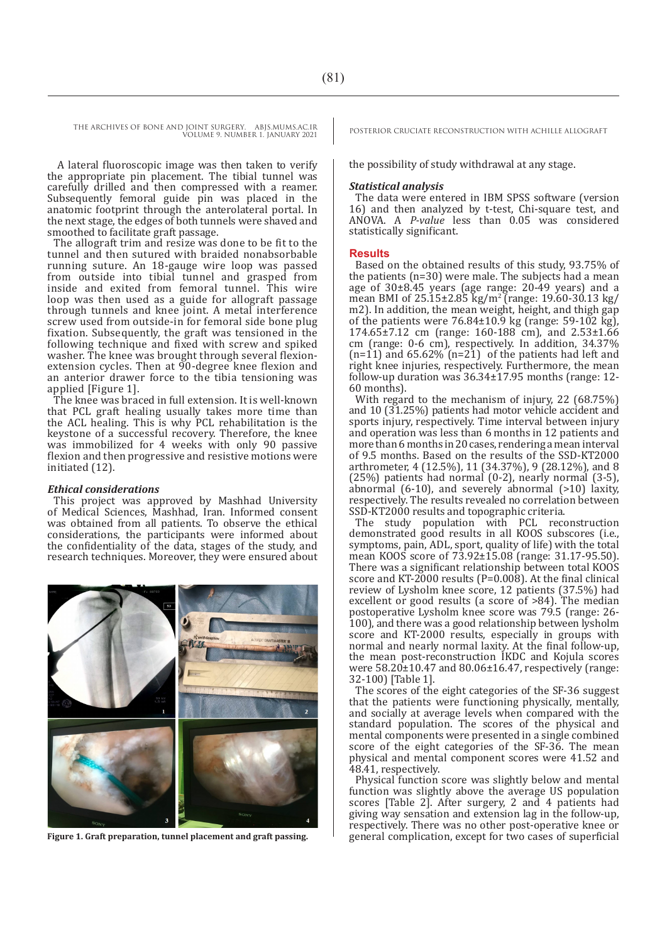A lateral fluoroscopic image was then taken to verify the appropriate pin placement. The tibial tunnel was carefully drilled and then compressed with a reamer. Subsequently femoral guide pin was placed in the anatomic footprint through the anterolateral portal. In the next stage, the edges of both tunnels were shaved and smoothed to facilitate graft passage.

The allograft trim and resize was done to be fit to the tunnel and then sutured with braided nonabsorbable running suture. An 18-gauge wire loop was passed from outside into tibial tunnel and grasped from inside and exited from femoral tunnel. This wire loop was then used as a guide for allograft passage through tunnels and knee joint. A metal interference screw used from outside-in for femoral side bone plug fixation. Subsequently, the graft was tensioned in the following technique and fixed with screw and spiked washer. The knee was brought through several flexionextension cycles. Then at 90-degree knee flexion and an anterior drawer force to the tibia tensioning was applied [Figure 1].

The knee was braced in full extension. It is well-known that PCL graft healing usually takes more time than the ACL healing. This is why PCL rehabilitation is the keystone of a successful recovery. Therefore, the knee was immobilized for 4 weeks with only 90 passive flexion and then progressive and resistive motions were initiated (12).

#### *Ethical considerations*

This project was approved by Mashhad University of Medical Sciences, Mashhad, Iran. Informed consent was obtained from all patients. To observe the ethical considerations, the participants were informed about the confidentiality of the data, stages of the study, and research techniques. Moreover, they were ensured about



**Figure 1. Graft preparation, tunnel placement and graft passing.**

the possibility of study withdrawal at any stage.

#### *Statistical analysis*

The data were entered in IBM SPSS software (version 16) and then analyzed by t-test, Chi-square test, and ANOVA. A *P-value* less than 0.05 was considered statistically significant.

#### **Results**

Based on the obtained results of this study, 93.75% of the patients (n=30) were male. The subjects had a mean age of 30±8.45 years (age range: 20-49 years) and a mean BMI of 25.15±2.85 kg/m<sup>2</sup> (range: 19.60-30.13 kg/ m2). In addition, the mean weight, height, and thigh gap of the patients were  $76.84\pm10.9$  kg (range: 59-102 kg), 174.65±7.12 cm (range: 160-188 cm), and 2.53±1.66 cm (range: 0-6 cm), respectively. In addition, 34.37%  $(n=11)$  and 65.62%  $(n=21)$  of the patients had left and right knee injuries, respectively. Furthermore, the mean follow-up duration was 36.34±17.95 months (range: 12- 60 months).

With regard to the mechanism of injury, 22 (68.75%) and 10 (31.25%) patients had motor vehicle accident and sports injury, respectively. Time interval between injury and operation was less than 6 months in 12 patients and more than 6 months in 20 cases, rendering a mean interval of 9.5 months. Based on the results of the SSD-KT2000 arthrometer, 4 (12.5%), 11 (34.37%), 9 (28.12%), and 8 (25%) patients had normal (0-2), nearly normal (3-5), abnormal (6-10), and severely abnormal (>10) laxity, respectively. The results revealed no correlation between SSD-KT2000 results and topographic criteria.

The study population with PCL reconstruction demonstrated good results in all KOOS subscores (i.e., symptoms, pain, ADL, sport, quality of life) with the total mean KOOS score of 73.92±15.08 (range: 31.17-95.50). There was a significant relationship between total KOOS score and KT-2000 results (P=0.008). At the final clinical review of Lysholm knee score, 12 patients (37.5%) had excellent or good results (a score of  $>84$ ). The median postoperative Lysholm knee score was 79.5 (range: 26- 100), and there was a good relationship between lysholm score and KT-2000 results, especially in groups with normal and nearly normal laxity. At the final follow-up, the mean post-reconstruction IKDC and Kojula scores were 58.20±10.47 and 80.06±16.47, respectively (range: 32-100) [Table 1].

The scores of the eight categories of the SF-36 suggest that the patients were functioning physically, mentally, and socially at average levels when compared with the standard population. The scores of the physical and mental components were presented in a single combined score of the eight categories of the SF-36. The mean physical and mental component scores were 41.52 and 48.41, respectively.

Physical function score was slightly below and mental function was slightly above the average US population scores [Table 2]. After surgery, 2 and 4 patients had giving way sensation and extension lag in the follow-up, respectively. There was no other post-operative knee or general complication, except for two cases of superficial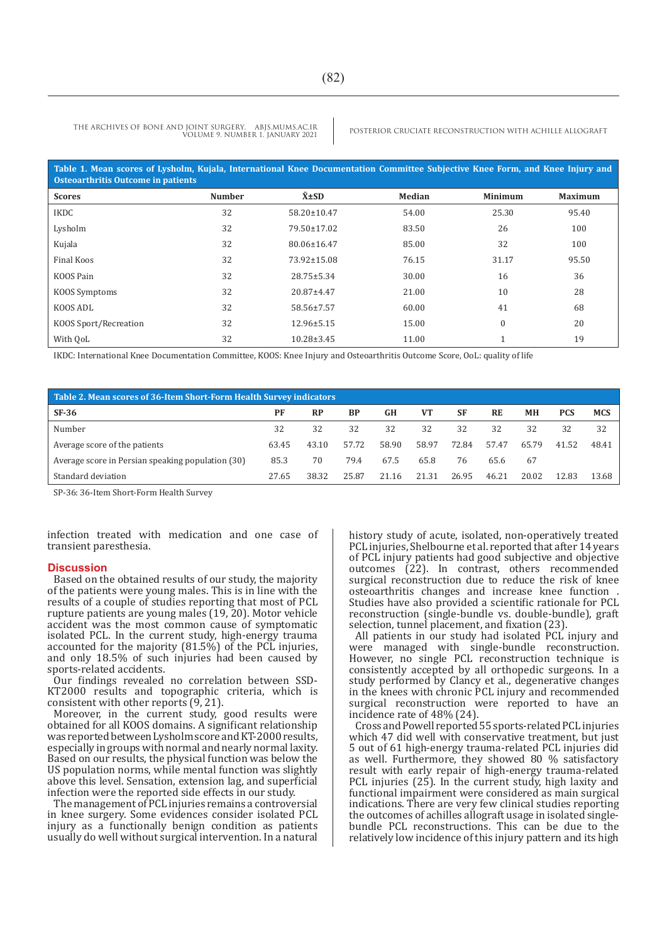| Table 1. Mean scores of Lysholm, Kujala, International Knee Documentation Committee Subjective Knee Form, and Knee Injury and<br>Osteoarthritis Outcome in patients |               |                  |        |                |                |  |  |  |  |  |  |
|---------------------------------------------------------------------------------------------------------------------------------------------------------------------|---------------|------------------|--------|----------------|----------------|--|--|--|--|--|--|
| <b>Scores</b>                                                                                                                                                       | <b>Number</b> | $\bar{x}$ ±SD    | Median | <b>Minimum</b> | <b>Maximum</b> |  |  |  |  |  |  |
| <b>IKDC</b>                                                                                                                                                         | 32            | 58.20±10.47      | 54.00  | 25.30          | 95.40          |  |  |  |  |  |  |
| Lysholm                                                                                                                                                             | 32            | 79.50±17.02      | 83.50  | 26             | 100            |  |  |  |  |  |  |
| Kujala                                                                                                                                                              | 32            | 80.06±16.47      | 85.00  | 32             | 100            |  |  |  |  |  |  |
| Final Koos                                                                                                                                                          | 32            | 73.92±15.08      | 76.15  | 31.17          | 95.50          |  |  |  |  |  |  |
| KOOS Pain                                                                                                                                                           | 32            | $28.75 \pm 5.34$ | 30.00  | 16             | 36             |  |  |  |  |  |  |
| KOOS Symptoms                                                                                                                                                       | 32            | 20.87±4.47       | 21.00  | 10             | 28             |  |  |  |  |  |  |
| KOOS ADL                                                                                                                                                            | 32            | 58.56±7.57       | 60.00  | 41             | 68             |  |  |  |  |  |  |
| KOOS Sport/Recreation                                                                                                                                               | 32            | $12.96 \pm 5.15$ | 15.00  | $\mathbf{0}$   | 20             |  |  |  |  |  |  |
| With OoL                                                                                                                                                            | 32            | $10.28 \pm 3.45$ | 11.00  |                | 19             |  |  |  |  |  |  |

IKDC: International Knee Documentation Committee, KOOS: Knee Injury and Osteoarthritis Outcome Score, OoL: quality of life

| Table 2. Mean scores of 36-Item Short-Form Health Survey indicators |       |           |           |       |                |       |           |           |            |            |  |  |  |
|---------------------------------------------------------------------|-------|-----------|-----------|-------|----------------|-------|-----------|-----------|------------|------------|--|--|--|
| $SF-36$                                                             | PF    | <b>RP</b> | <b>BP</b> | GH    | V <sub>T</sub> | SF    | <b>RE</b> | <b>MH</b> | <b>PCS</b> | <b>MCS</b> |  |  |  |
| Number                                                              | 32    | 32        | 32        | 32    | 32             | 32    | 32        | 32        | 32         | 32         |  |  |  |
| Average score of the patients                                       | 63.45 | 43.10     | 57.72     | 58.90 | 58.97          | 72.84 | 57.47     | 65.79     | 41.52      | 48.41      |  |  |  |
| Average score in Persian speaking population (30)                   | 85.3  | 70        | 79.4      | 67.5  | 65.8           | 76    | 65.6      | 67        |            |            |  |  |  |
| Standard deviation                                                  | 27.65 | 38.32     | 25.87     | 21.16 | 21.31          | 26.95 | 46.21     | 20.02     | 12.83      | 13.68      |  |  |  |

SP-36: 36-Item Short-Form Health Survey

infection treated with medication and one case of transient paresthesia.

#### **Discussion**

Based on the obtained results of our study, the majority of the patients were young males. This is in line with the results of a couple of studies reporting that most of PCL rupture patients are young males (19, 20). Motor vehicle accident was the most common cause of symptomatic isolated PCL. In the current study, high-energy trauma accounted for the majority  $(81.5\%)$  of the PCL injuries, and only 18.5% of such injuries had been caused by sports-related accidents.

Our findings revealed no correlation between SSD-KT2000 results and topographic criteria, which is consistent with other reports (9, 21).

Moreover, in the current study, good results were obtained for all KOOS domains. A significant relationship was reported between Lysholm score and KT-2000 results, especially in groups with normal and nearly normal laxity. Based on our results, the physical function was below the US population norms, while mental function was slightly above this level. Sensation, extension lag, and superficial infection were the reported side effects in our study.

The management of PCL injuries remains a controversial in knee surgery. Some evidences consider isolated PCL injury as a functionally benign condition as patients usually do well without surgical intervention. In a natural history study of acute, isolated, non-operatively treated PCL injuries, Shelbourne et al. reported that after 14 years of PCL injury patients had good subjective and objective outcomes (22). In contrast, others recommended surgical reconstruction due to reduce the risk of knee osteoarthritis changes and increase knee function . Studies have also provided a scientific rationale for PCL reconstruction (single-bundle vs. double-bundle), graft selection, tunnel placement, and fixation (23).

All patients in our study had isolated PCL injury and were managed with single-bundle reconstruction. However, no single PCL reconstruction technique is consistently accepted by all orthopedic surgeons. In a study performed by Clancy et al., degenerative changes in the knees with chronic PCL injury and recommended surgical reconstruction were reported to have an incidence rate of 48% (24).

Cross and Powell reported 55 sports-related PCL injuries which 47 did well with conservative treatment, but just 5 out of 61 high-energy trauma-related PCL injuries did as well. Furthermore, they showed 80 % satisfactory result with early repair of high-energy trauma-related PCL injuries (25). In the current study, high laxity and functional impairment were considered as main surgical indications. There are very few clinical studies reporting the outcomes of achilles allograft usage in isolated singlebundle PCL reconstructions. This can be due to the relatively low incidence of this injury pattern and its high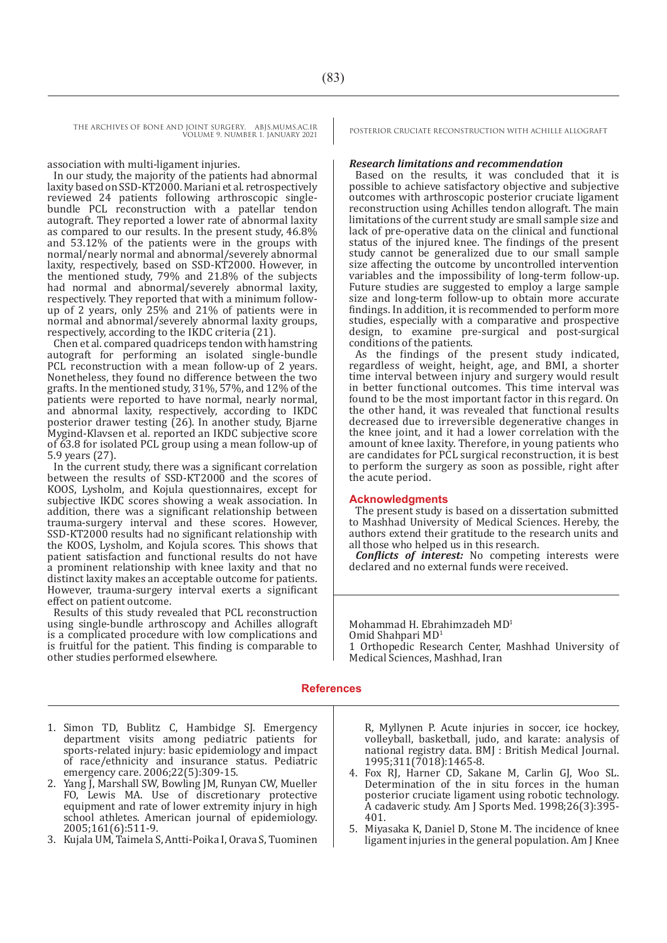association with multi-ligament injuries.

In our study, the majority of the patients had abnormal laxity based on SSD-KT2000. Mariani et al. retrospectively reviewed 24 patients following arthroscopic singlebundle PCL reconstruction with a patellar tendon autograft. They reported a lower rate of abnormal laxity as compared to our results. In the present study, 46.8% and 53.12% of the patients were in the groups with normal/nearly normal and abnormal/severely abnormal laxity, respectively, based on SSD-KT2000. However, in the mentioned study, 79% and 21.8% of the subjects had normal and abnormal/severely abnormal laxity, respectively. They reported that with a minimum followup of 2 years, only 25% and 21% of patients were in normal and abnormal/severely abnormal laxity groups, respectively, according to the IKDC criteria (21).

Chen et al. compared quadriceps tendon with hamstring autograft for performing an isolated single-bundle PCL reconstruction with a mean follow-up of 2 years. Nonetheless, they found no difference between the two grafts. In the mentioned study, 31%, 57%, and 12% of the patients were reported to have normal, nearly normal, and abnormal laxity, respectively, according to IKDC posterior drawer testing (26). In another study, Bjarne Mygind-Klavsen et al. reported an IKDC subjective score of 63.8 for isolated PCL group using a mean follow-up of 5.9 years (27).

In the current study, there was a significant correlation between the results of SSD-KT2000 and the scores of KOOS, Lysholm, and Kojula questionnaires, except for subjective IKDC scores showing a weak association. In addition, there was a significant relationship between trauma-surgery interval and these scores. However, SSD-KT2000 results had no significant relationship with the KOOS, Lysholm, and Kojula scores. This shows that patient satisfaction and functional results do not have a prominent relationship with knee laxity and that no distinct laxity makes an acceptable outcome for patients. However, trauma-surgery interval exerts a significant effect on patient outcome.

Results of this study revealed that PCL reconstruction using single-bundle arthroscopy and Achilles allograft is a complicated procedure with low complications and is fruitful for the patient. This finding is comparable to other studies performed elsewhere.

#### *Research limitations and recommendation*

Based on the results, it was concluded that it is possible to achieve satisfactory objective and subjective outcomes with arthroscopic posterior cruciate ligament reconstruction using Achilles tendon allograft. The main limitations of the current study are small sample size and lack of pre-operative data on the clinical and functional status of the injured knee. The findings of the present study cannot be generalized due to our small sample size affecting the outcome by uncontrolled intervention variables and the impossibility of long-term follow-up. Future studies are suggested to employ a large sample size and long-term follow-up to obtain more accurate findings. In addition, it is recommended to perform more studies, especially with a comparative and prospective design, to examine pre-surgical and post-surgical conditions of the patients.

As the findings of the present study indicated, regardless of weight, height, age, and BMI, a shorter time interval between injury and surgery would result in better functional outcomes. This time interval was found to be the most important factor in this regard. On the other hand, it was revealed that functional results decreased due to irreversible degenerative changes in the knee joint, and it had a lower correlation with the amount of knee laxity. Therefore, in young patients who are candidates for PCL surgical reconstruction, it is best to perform the surgery as soon as possible, right after the acute period.

# **Acknowledgments**

The present study is based on a dissertation submitted to Mashhad University of Medical Sciences. Hereby, the authors extend their gratitude to the research units and all those who helped us in this research.

*Conflicts of interest:* No competing interests were declared and no external funds were received.

Mohammad H. Ebrahimzadeh MD1 Omid Shahpari MD<sup>1</sup> 1 Orthopedic Research Center, Mashhad University of Medical Sciences, Mashhad, Iran

# **References**

- 1. Simon TD, Bublitz C, Hambidge SJ. Emergency department visits among pediatric patients for sports-related injury: basic epidemiology and impact of race/ethnicity and insurance status. Pediatric emergency care. 2006;22(5):309-15.
- 2. Yang J, Marshall SW, Bowling JM, Runyan CW, Mueller FO, Lewis MA. Use of discretionary protective equipment and rate of lower extremity injury in high school athletes. American journal of epidemiology. 2005;161(6):511-9.
- 3. Kujala UM, Taimela S, Antti-Poika I, Orava S, Tuominen

R, Myllynen P. Acute injuries in soccer, ice hockey, volleyball, basketball, judo, and karate: analysis of national registry data. BMJ : British Medical Journal. 1995;311(7018):1465-8.

- 4. Fox RJ, Harner CD, Sakane M, Carlin GJ, Woo SL. Determination of the in situ forces in the human posterior cruciate ligament using robotic technology. A cadaveric study. Am J Sports Med. 1998;26(3):395- 401.
- 5. Miyasaka K, Daniel D, Stone M. The incidence of knee ligament injuries in the general population. Am J Knee